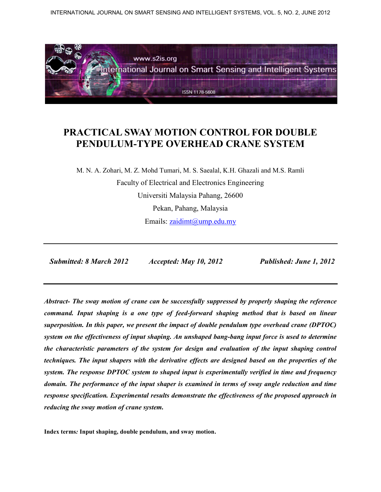INTERNATIONAL JOURNAL ON SMART SENSING AND INTELLIGENT SYSTEMS, VOL. 5, NO. 2, JUNE 2012



# **PRACTICAL SWAY MOTION CONTROL FOR DOUBLE PENDULUM-TYPE OVERHEAD CRANE SYSTEM**

M. N. A. Zohari, M. Z. Mohd Tumari, M. S. Saealal, K.H. Ghazali and M.S. Ramli Faculty of Electrical and Electronics Engineering Universiti Malaysia Pahang, 26600 Pekan, Pahang, Malaysia Emails: zaidimt@ump.edu.my

 *Submitted: 8 March 2012 Accepted: May 10, 2012 Published: June 1, 2012* 

*Abstract- The sway motion of crane can be successfully suppressed by properly shaping the reference command. Input shaping is a one type of feed-forward shaping method that is based on linear superposition. In this paper, we present the impact of double pendulum type overhead crane (DPTOC) system on the effectiveness of input shaping. An unshaped bang-bang input force is used to determine the characteristic parameters of the system for design and evaluation of the input shaping control techniques. The input shapers with the derivative effects are designed based on the properties of the system. The response DPTOC system to shaped input is experimentally verified in time and frequency domain. The performance of the input shaper is examined in terms of sway angle reduction and time response specification. Experimental results demonstrate the effectiveness of the proposed approach in reducing the sway motion of crane system.* 

**Index terms***:* **Input shaping, double pendulum, and sway motion.**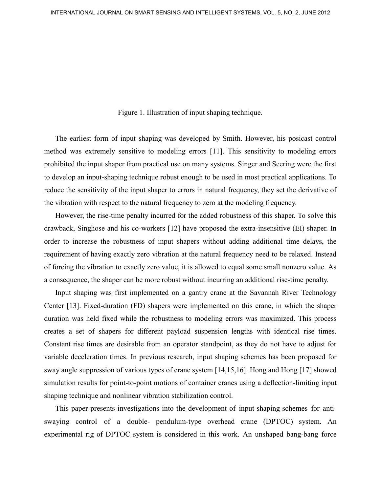Figure 1. Illustration of input shaping technique.

The earliest form of input shaping was developed by Smith. However, his posicast control method was extremely sensitive to modeling errors [11]. This sensitivity to modeling errors prohibited the input shaper from practical use on many systems. Singer and Seering were the first to develop an input-shaping technique robust enough to be used in most practical applications. To reduce the sensitivity of the input shaper to errors in natural frequency, they set the derivative of the vibration with respect to the natural frequency to zero at the modeling frequency.

However, the rise-time penalty incurred for the added robustness of this shaper. To solve this drawback, Singhose and his co-workers [12] have proposed the extra-insensitive (EI) shaper. In order to increase the robustness of input shapers without adding additional time delays, the requirement of having exactly zero vibration at the natural frequency need to be relaxed. Instead of forcing the vibration to exactly zero value, it is allowed to equal some small nonzero value. As a consequence, the shaper can be more robust without incurring an additional rise-time penalty.

Input shaping was first implemented on a gantry crane at the Savannah River Technology Center [13]. Fixed-duration (FD) shapers were implemented on this crane, in which the shaper duration was held fixed while the robustness to modeling errors was maximized. This process creates a set of shapers for different payload suspension lengths with identical rise times. Constant rise times are desirable from an operator standpoint, as they do not have to adjust for variable deceleration times. In previous research, input shaping schemes has been proposed for sway angle suppression of various types of crane system [14,15,16]. Hong and Hong [17] showed simulation results for point-to-point motions of container cranes using a deflection-limiting input shaping technique and nonlinear vibration stabilization control.

This paper presents investigations into the development of input shaping schemes for antiswaying control of a double- pendulum-type overhead crane (DPTOC) system. An experimental rig of DPTOC system is considered in this work. An unshaped bang-bang force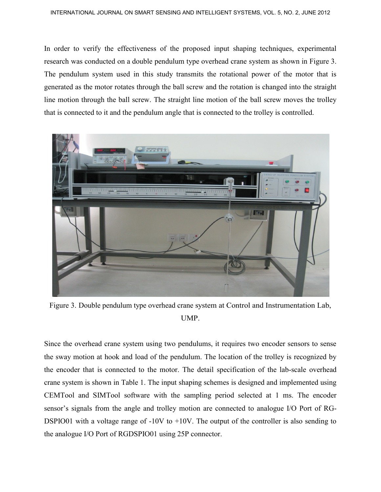In order to verify the effectiveness of the proposed input shaping techniques, experimental research was conducted on a double pendulum type overhead crane system as shown in Figure 3. The pendulum system used in this study transmits the rotational power of the motor that is generated as the motor rotates through the ball screw and the rotation is changed into the straight line motion through the ball screw. The straight line motion of the ball screw moves the trolley that is connected to it and the pendulum angle that is connected to the trolley is controlled.



Figure 3. Double pendulum type overhead crane system at Control and Instrumentation Lab, UMP.

Since the overhead crane system using two pendulums, it requires two encoder sensors to sense the sway motion at hook and load of the pendulum. The location of the trolley is recognized by the encoder that is connected to the motor. The detail specification of the lab-scale overhead crane system is shown in Table 1. The input shaping schemes is designed and implemented using CEMTool and SIMTool software with the sampling period selected at 1 ms. The encoder sensor's signals from the angle and trolley motion are connected to analogue I/O Port of RG-DSPIO01 with a voltage range of -10V to +10V. The output of the controller is also sending to the analogue I/O Port of RGDSPIO01 using 25P connector.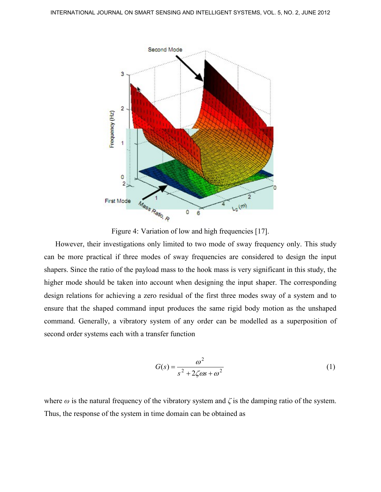

Figure 4: Variation of low and high frequencies [17].

However, their investigations only limited to two mode of sway frequency only. This study can be more practical if three modes of sway frequencies are considered to design the input shapers. Since the ratio of the payload mass to the hook mass is very significant in this study, the higher mode should be taken into account when designing the input shaper. The corresponding design relations for achieving a zero residual of the first three modes sway of a system and to ensure that the shaped command input produces the same rigid body motion as the unshaped command. Generally, a vibratory system of any order can be modelled as a superposition of second order systems each with a transfer function

$$
G(s) = \frac{\omega^2}{s^2 + 2\zeta\omega s + \omega^2}
$$
 (1)

where  $\omega$  is the natural frequency of the vibratory system and  $\zeta$  is the damping ratio of the system. Thus, the response of the system in time domain can be obtained as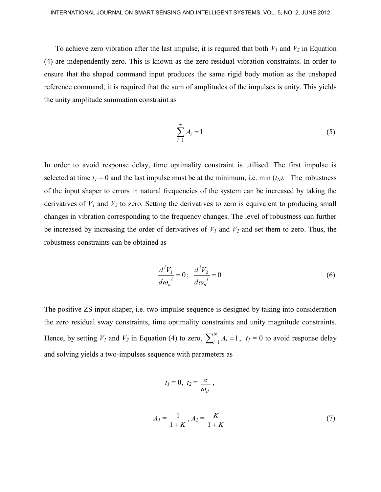To achieve zero vibration after the last impulse, it is required that both  $V_I$  and  $V_2$  in Equation (4) are independently zero. This is known as the zero residual vibration constraints. In order to ensure that the shaped command input produces the same rigid body motion as the unshaped reference command, it is required that the sum of amplitudes of the impulses is unity. This yields the unity amplitude summation constraint as

$$
\sum_{i=1}^{N} A_i = 1 \tag{5}
$$

In order to avoid response delay, time optimality constraint is utilised. The first impulse is selected at time  $t_1 = 0$  and the last impulse must be at the minimum, i.e. min  $(t_N)$ . The robustness of the input shaper to errors in natural frequencies of the system can be increased by taking the derivatives of  $V_1$  and  $V_2$  to zero. Setting the derivatives to zero is equivalent to producing small changes in vibration corresponding to the frequency changes. The level of robustness can further be increased by increasing the order of derivatives of  $V_I$  and  $V_2$  and set them to zero. Thus, the robustness constraints can be obtained as

$$
\frac{d^i V_1}{d\omega_n^i} = 0; \quad \frac{d^i V_2}{d\omega_n^i} = 0 \tag{6}
$$

The positive ZS input shaper, i.e. two-impulse sequence is designed by taking into consideration the zero residual sway constraints, time optimality constraints and unity magnitude constraints. Hence, by setting  $V_I$  and  $V_2$  in Equation (4) to zero,  $\sum_{i=1}^{N} A_i =$  $\int_{i=1}^{N} A_i = 1$ ,  $t_I = 0$  to avoid response delay and solving yields a two-impulses sequence with parameters as

$$
t_1 = 0, t_2 = \frac{\pi}{\omega_d}
$$

,

$$
A_1 = \frac{1}{1+K}, A_2 = \frac{K}{1+K}
$$
 (7)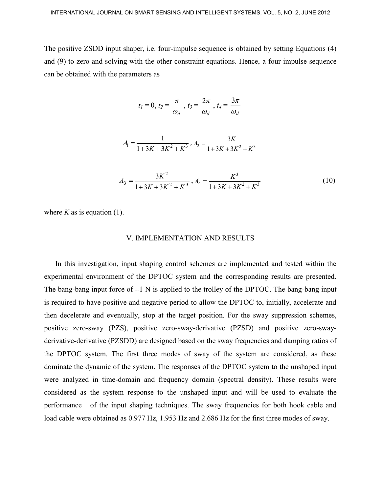The positive ZSDD input shaper, i.e. four-impulse sequence is obtained by setting Equations (4) and (9) to zero and solving with the other constraint equations. Hence, a four-impulse sequence can be obtained with the parameters as

$$
t_1=0, t_2=\frac{\pi}{\omega_d}, t_3=\frac{2\pi}{\omega_d}, t_4=\frac{3\pi}{\omega_d}
$$

$$
A_1 = \frac{1}{1 + 3K + 3K^2 + K^3}, A_2 = \frac{3K}{1 + 3K + 3K^2 + K^3}
$$

$$
A_3 = \frac{3K^2}{1 + 3K + 3K^2 + K^3}, A_4 = \frac{K^3}{1 + 3K + 3K^2 + K^3}
$$
(10)

where  $K$  as is equation (1).

#### V. IMPLEMENTATION AND RESULTS

In this investigation, input shaping control schemes are implemented and tested within the experimental environment of the DPTOC system and the corresponding results are presented. The bang-bang input force of  $\pm 1$  N is applied to the trolley of the DPTOC. The bang-bang input is required to have positive and negative period to allow the DPTOC to, initially, accelerate and then decelerate and eventually, stop at the target position. For the sway suppression schemes, positive zero-sway (PZS), positive zero-sway-derivative (PZSD) and positive zero-swayderivative-derivative (PZSDD) are designed based on the sway frequencies and damping ratios of the DPTOC system. The first three modes of sway of the system are considered, as these dominate the dynamic of the system. The responses of the DPTOC system to the unshaped input were analyzed in time-domain and frequency domain (spectral density). These results were considered as the system response to the unshaped input and will be used to evaluate the performance of the input shaping techniques. The sway frequencies for both hook cable and load cable were obtained as 0.977 Hz, 1.953 Hz and 2.686 Hz for the first three modes of sway.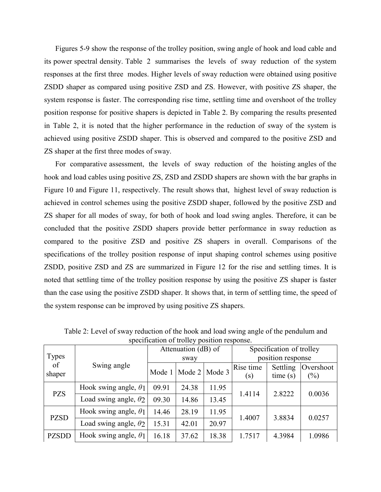## PRACTICAL SWAY MOTION CONTROL FOR DOUBLE PENDULUM-TYPE OVERHEAD CRANE SYSTEM

M. N. A. Zohari, M. Z. Mohd Tumari, M. S. Saealal, K.H. Ghazali and M.S. Ramli **Faculty of Electrical and Electronics Engineering** Universiti Malaysia Pahan@6600 Pekan, Pahang, Malaysia Emails zaidimt@ump.edu.my

| Submitted:8 March 2012 | Accepted: May 10, 2012 | Published: June 1, 2012 |
|------------------------|------------------------|-------------------------|
|------------------------|------------------------|-------------------------|

Abstract- The sway motion of crane can be successfully suppressed by properly shaping the reference command. Input shaping is a one type of feed-forward shaping method that is based on linear superposition. In this paper, we present the impact of double pendulum type overhead crane (DPTOC) system on the effectiveness of input shaping. An unshaped bang-bang input force is used to determine the characteristic parameters of the system for design and evaluation of the input shaping control techniques. The input shapers with the derivative effects are designed based on the properties of the system. The response DPTOC system to shaped input is experimentally verified in time and frequency domain. The performance of the input shaper is examined in terms of sway angle reduction and time response specification. Experimental results demonstrate the effectiveness of the proposed approach in reducing the sway motion of crane system.

Index terms: Input shaping, double pendulum, and sway motion.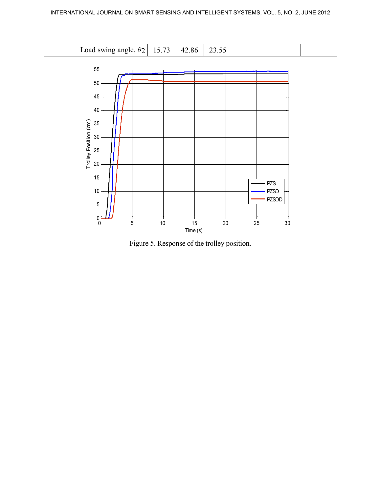



Figure 5. Response of the trolley position.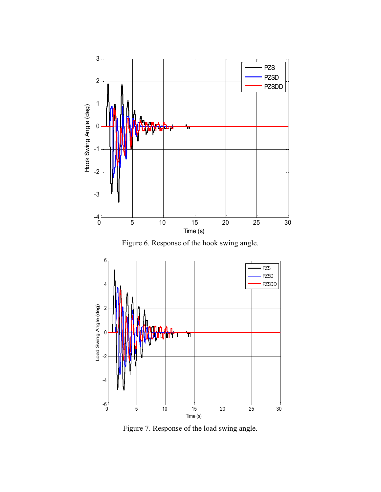

Figure 6. Response of the hook swing angle.



Figure 7. Response of the load swing angle.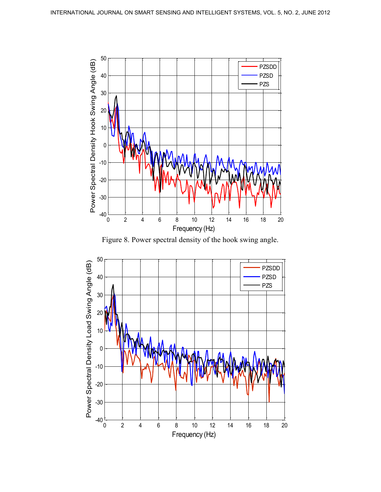

Figure 8. Power spectral density of the hook swing angle.

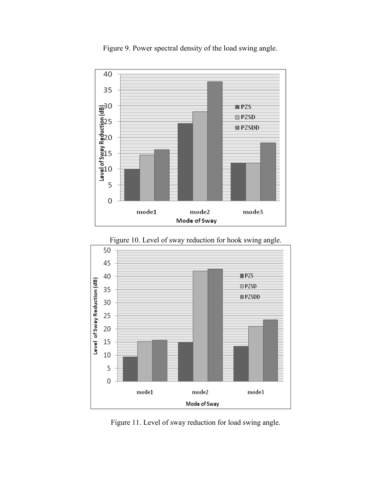

Figure 9. Power spectral density of the load swing angle.



Figure 10. Level of sway reduction for hook swing angle.

Figure 11. Level of sway reduction for load swing angle.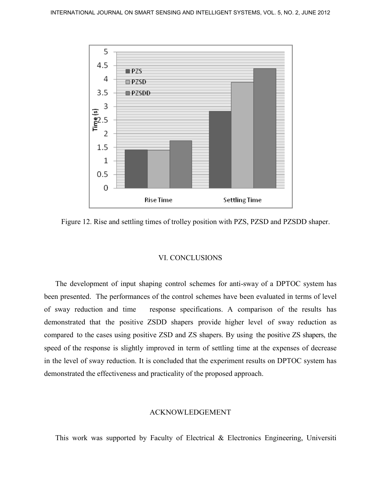

Figure 12. Rise and settling times of trolley position with PZS, PZSD and PZSDD shaper.

### VI. CONCLUSIONS

The development of input shaping control schemes for anti-sway of a DPTOC system has been presented. The performances of the control schemes have been evaluated in terms of level of sway reduction and time response specifications. A comparison of the results has demonstrated that the positive ZSDD shapers provide higher level of sway reduction as compared to the cases using positive ZSD and ZS shapers. By using the positive ZS shapers, the speed of the response is slightly improved in term of settling time at the expenses of decrease in the level of sway reduction. It is concluded that the experiment results on DPTOC system has demonstrated the effectiveness and practicality of the proposed approach.

#### ACKNOWLEDGEMENT

This work was supported by Faculty of Electrical & Electronics Engineering, Universiti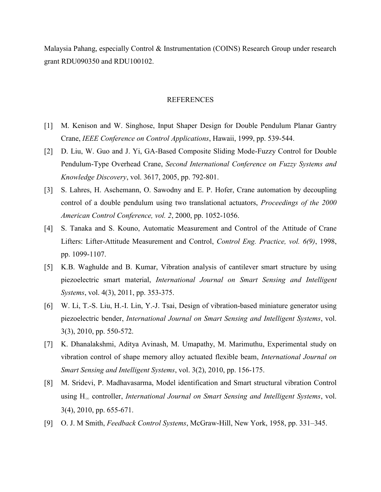Malaysia Pahang, especially Control & Instrumentation (COINS) Research Group under research grant RDU090350 and RDU100102.

### REFERENCES

- [1] M. Kenison and W. Singhose, Input Shaper Design for Double Pendulum Planar Gantry Crane, *IEEE Conference on Control Applications*, Hawaii, 1999, pp. 539-544.
- [2] D. Liu, W. Guo and J. Yi, GA-Based Composite Sliding Mode-Fuzzy Control for Double Pendulum-Type Overhead Crane, *Second International Conference on Fuzzy Systems and Knowledge Discovery*, vol. 3617, 2005, pp. 792-801.
- [3] S. Lahres, H. Aschemann, O. Sawodny and E. P. Hofer, Crane automation by decoupling control of a double pendulum using two translational actuators, *Proceedings of the 2000 American Control Conference, vol. 2*, 2000, pp. 1052-1056.
- [4] S. Tanaka and S. Kouno, Automatic Measurement and Control of the Attitude of Crane Lifters: Lifter-Attitude Measurement and Control, *Control Eng. Practice, vol. 6(9)*, 1998, pp. 1099-1107.
- [5] K.B. Waghulde and B. Kumar, Vibration analysis of cantilever smart structure by using piezoelectric smart material, *International Journal on Smart Sensing and Intelligent Systems*, vol. 4(3), 2011, pp. 353-375.
- [6] W. Li, T.-S. Liu, H.-I. Lin, Y.-J. Tsai, Design of vibration-based miniature generator using piezoelectric bender, *International Journal on Smart Sensing and Intelligent Systems*, vol. 3(3), 2010, pp. 550-572.
- [7] K. Dhanalakshmi, Aditya Avinash, M. Umapathy, M. Marimuthu, Experimental study on vibration control of shape memory alloy actuated flexible beam, *International Journal on Smart Sensing and Intelligent Systems*, vol. 3(2), 2010, pp. 156-175.
- [8] M. Sridevi, P. Madhavasarma, Model identification and Smart structural vibration Control using H<sup>∞</sup> controller, *International Journal on Smart Sensing and Intelligent Systems*, vol. 3(4), 2010, pp. 655-671.
- [9] O. J. M Smith, *Feedback Control Systems*, McGraw-Hill, New York, 1958, pp. 331–345.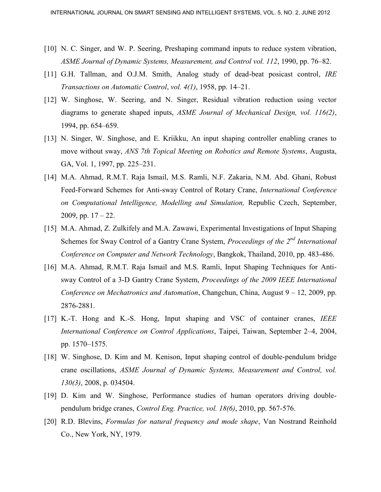- [10] N. C. Singer, and W. P. Seering, Preshaping command inputs to reduce system vibration, *ASME Journal of Dynamic Systems, Measurement, and Control vol. 112*, 1990, pp. 76–82.
- [11] G.H. Tallman, and O.J.M. Smith, Analog study of dead-beat posicast control, *IRE Transactions on Automatic Control*, *vol. 4(1)*, 1958, pp. 14–21.
- [12] W. Singhose, W. Seering, and N. Singer, Residual vibration reduction using vector diagrams to generate shaped inputs, *ASME Journal of Mechanical Design, vol. 116(2)*, 1994, pp. 654–659.
- [13] N. Singer, W. Singhose, and E. Kriikku, An input shaping controller enabling cranes to move without sway, *ANS 7th Topical Meeting on Robotics and Remote Systems*, Augusta, GA, Vol. 1, 1997, pp. 225–231.
- [14] M.A. Ahmad, R.M.T. Raja Ismail, M.S. Ramli, N.F. Zakaria, N.M. Abd. Ghani, Robust Feed-Forward Schemes for Anti-sway Control of Rotary Crane, *International Conference on Computational Intelligence, Modelling and Simulation,* Republic Czech, September, 2009, pp.  $17 - 22$ .
- [15] M.A. Ahmad, Z. Zulkifely and M.A. Zawawi, Experimental Investigations of Input Shaping Schemes for Sway Control of a Gantry Crane System, *Proceedings of the 2nd International Conference on Computer and Network Technology*, Bangkok, Thailand, 2010, pp. 483-486.
- [16] M.A. Ahmad, R.M.T. Raja Ismail and M.S. Ramli, Input Shaping Techniques for Antisway Control of a 3-D Gantry Crane System, *Proceedings of the 2009 IEEE International Conference on Mechatronics and Automation*, Changchun, China, August 9 – 12, 2009, pp. 2876-2881.
- [17] K.-T. Hong and K.-S. Hong, Input shaping and VSC of container cranes, *IEEE International Conference on Control Applications*, Taipei, Taiwan, September 2–4, 2004, pp. 1570–1575.
- [18] W. Singhose, D. Kim and M. Kenison, Input shaping control of double-pendulum bridge crane oscillations, *ASME Journal of Dynamic Systems, Measurement and Control, vol. 130(3)*, 2008, p. 034504.
- [19] D. Kim and W. Singhose, Performance studies of human operators driving doublependulum bridge cranes, *Control Eng. Practice, vol. 18(6)*, 2010, pp. 567-576.
- [20] R.D. Blevins, *Formulas for natural frequency and mode shape*, Van Nostrand Reinhold Co., New York, NY, 1979.